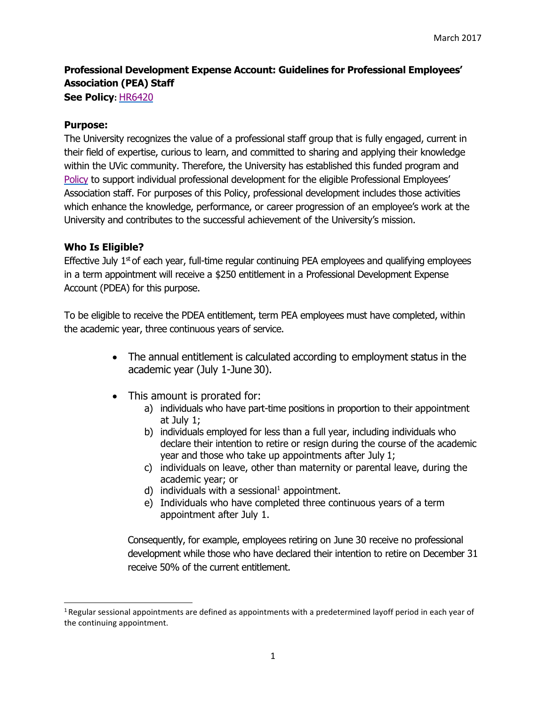# **Professional Development Expense Account: Guidelines for Professional Employees' Association (PEA) Staff**

**See Policy:** [HR6420](https://www.uvic.ca/hr/assets/docs/labourrelations/lrforms/PEA%20Pro-D%20Expense%20PolicyHR6420%20-%20updated%20link%202017.pdf)

#### **Purpose:**

The University recognizes the value of a professional staff group that is fully engaged, current in their field of expertise, curious to learn, and committed to sharing and applying their knowledge within the UVic community. Therefore, the University has established this funded program and [Policy](https://www.uvic.ca/hr/assets/docs/labourrelations/lrforms/PEA%20Pro-D%20Expense%20PolicyHR6420%20-%20updated%20link%202017.pdf) to support individual professional development for the eligible Professional Employees' Association staff. For purposes of this Policy, professional development includes those activities which enhance the knowledge, performance, or career progression of an employee's work at the University and contributes to the successful achievement of the University's mission.

## **Who Is Eligible?**

Effective July  $1<sup>st</sup>$  of each year, full-time regular continuing PEA employees and qualifying employees in a term appointment will receive a \$250 entitlement in a Professional Development Expense Account (PDEA) for this purpose.

To be eligible to receive the PDEA entitlement, term PEA employees must have completed, within the academic year, three continuous years of service.

- The annual entitlement is calculated according to employment status in the academic year (July 1-June 30).
- This amount is prorated for:
	- a) individuals who have part-time positions in proportion to their appointment at July 1;
	- b) individuals employed for less than a full year, including individuals who declare their intention to retire or resign during the course of the academic year and those who take up appointments after July 1;
	- c) individuals on leave, other than maternity or parental leave, during the academic year; or
	- d) individuals with a sessional<sup>1</sup> appointment.
	- e) Individuals who have completed three continuous years of a term appointment after July 1.

Consequently, for example, employees retiring on June 30 receive no professional development while those who have declared their intention to retire on December 31 receive 50% of the current entitlement.

 $1$  Regular sessional appointments are defined as appointments with a predetermined layoff period in each year of the continuing appointment.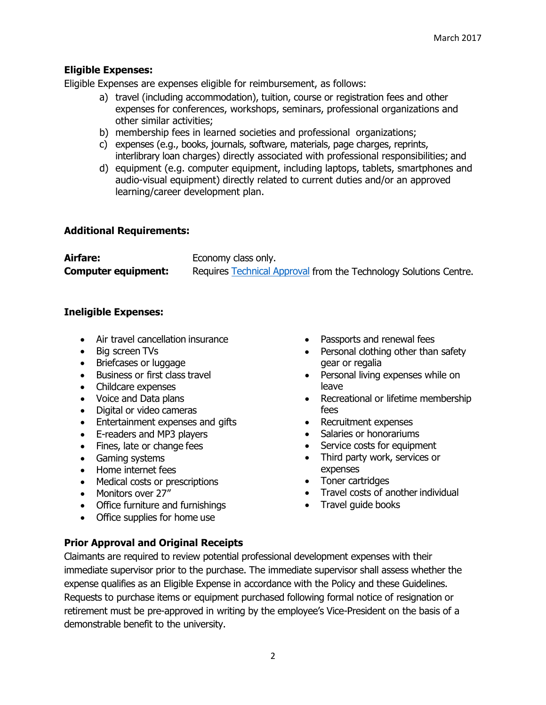# **Eligible Expenses:**

Eligible Expenses are expenses eligible for reimbursement, as follows:

- a) travel (including accommodation), tuition, course or registration fees and other expenses for conferences, workshops, seminars, professional organizations and other similar activities;
- b) membership fees in learned societies and professional organizations;
- c) expenses (e.g., books, journals, software, materials, page charges, reprints, interlibrary loan charges) directly associated with professional responsibilities; and
- d) equipment (e.g. computer equipment, including laptops, tablets, smartphones and audio-visual equipment) directly related to current duties and/or an approved learning/career development plan.

#### **Additional Requirements:**

| Airfare:                   | Economy class only.                                               |
|----------------------------|-------------------------------------------------------------------|
| <b>Computer equipment:</b> | Requires Technical Approval from the Technology Solutions Centre. |

## **Ineligible Expenses:**

- Air travel cancellation insurance
- Big screen TVs
- Briefcases or luggage
- Business or first class travel
- Childcare expenses
- Voice and Data plans
- Digital or video cameras
- Entertainment expenses and gifts
- E-readers and MP3 players
- Fines, late or change fees
- Gaming systems
- Home internet fees
- Medical costs or prescriptions
- Monitors over 27"
- Office furniture and furnishings
- Office supplies for home use
- Passports and renewal fees
- Personal clothing other than safety gear or regalia
- Personal living expenses while on leave
- Recreational or lifetime membership fees
- Recruitment expenses
- Salaries or honorariums
- Service costs for equipment
- Third party work, services or expenses
- Toner cartridges
- Travel costs of another individual
- Travel guide books

## **Prior Approval and Original Receipts**

Claimants are required to review potential professional development expenses with their immediate supervisor prior to the purchase. The immediate supervisor shall assess whether the expense qualifies as an Eligible Expense in accordance with the Policy and these Guidelines. Requests to purchase items or equipment purchased following formal notice of resignation or retirement must be pre-approved in writing by the employee's Vice-President on the basis of a demonstrable benefit to the university.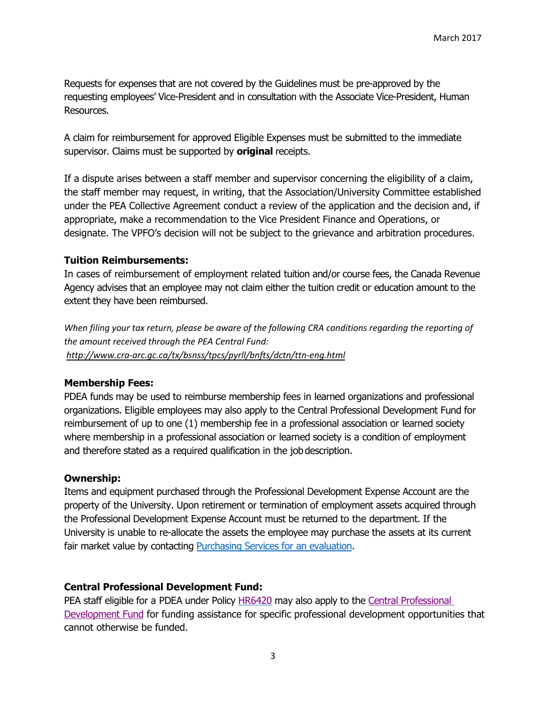Requests for expenses that are not covered by the Guidelines must be pre-approved by the requesting employees' Vice-President and in consultation with the Associate Vice-President, Human Resources.

A claim for reimbursement for approved Eligible Expenses must be submitted to the immediate supervisor. Claims must be supported by **original** receipts.

If a dispute arises between a staff member and supervisor concerning the eligibility of a claim, the staff member may request, in writing, that the Association/University Committee established under the PEA Collective Agreement conduct a review of the application and the decision and, if appropriate, make a recommendation to the Vice President Finance and Operations, or designate. The VPFO's decision will not be subject to the grievance and arbitration procedures.

#### **Tuition Reimbursements:**

In cases of reimbursement of employment related tuition and/or course fees, the Canada Revenue Agency advises that an employee may not claim either the tuition credit or education amount to the extent they have been reimbursed.

*When filing your tax return, please be aware of the following CRA conditions regarding the reporting of the amount received through the PEA Central Fund: <http://www.cra-arc.gc.ca/tx/bsnss/tpcs/pyrll/bnfts/dctn/ttn-eng.html>*

#### **Membership Fees:**

PDEA funds may be used to reimburse membership fees in learned organizations and professional organizations. Eligible employees may also apply to the Central Professional Development Fund for reimbursement of up to one (1) membership fee in a professional association or learned society where membership in a professional association or learned society is a condition of employment and therefore stated as a required qualification in the jobdescription.

#### **Ownership:**

Items and equipment purchased through the Professional Development Expense Account are the property of the University. Upon retirement or termination of employment assets acquired through the Professional Development Expense Account must be returned to the department. If the University is unable to re-allocate the assets the employee may purchase the assets at its current fair market value by contacting [Purchasing Services f](http://web.uvic.ca/purc/)or an evaluation.

#### **Central Professional Development Fund:**

PEA staff eligible for a PDEA under Policy [HR6420](https://www.uvic.ca/hr/assets/docs/labourrelations/lrforms/PEA%20Pro-D%20Expense%20PolicyHR6420%20-%20updated%20link%202017.pdf) may also apply to the [Central Professional](https://www.uvic.ca/hr/assets/docs/labourrelations/lrforms/pea-central-pro-d-fund-applicaiton-form.pdf)  [Development Fund](https://www.uvic.ca/hr/assets/docs/labourrelations/lrforms/pea-central-pro-d-fund-applicaiton-form.pdf) for funding assistance for specific professional development opportunities that cannot otherwise be funded.